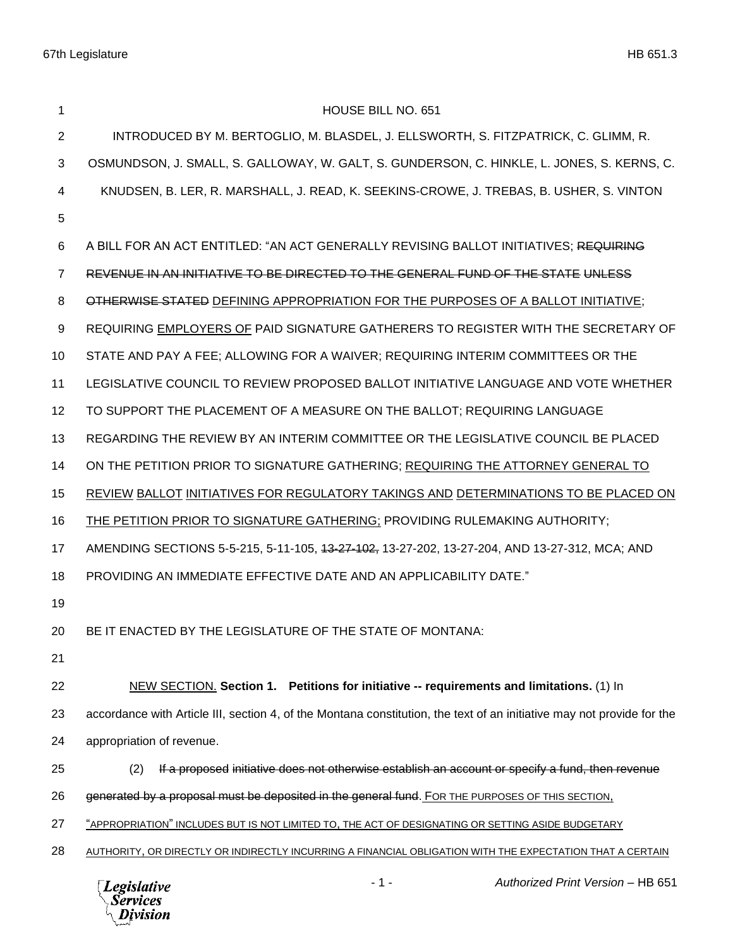| 1              | <b>HOUSE BILL NO. 651</b>                                                                                              |
|----------------|------------------------------------------------------------------------------------------------------------------------|
| 2              | INTRODUCED BY M. BERTOGLIO, M. BLASDEL, J. ELLSWORTH, S. FITZPATRICK, C. GLIMM, R.                                     |
| 3              | OSMUNDSON, J. SMALL, S. GALLOWAY, W. GALT, S. GUNDERSON, C. HINKLE, L. JONES, S. KERNS, C.                             |
| 4              | KNUDSEN, B. LER, R. MARSHALL, J. READ, K. SEEKINS-CROWE, J. TREBAS, B. USHER, S. VINTON                                |
| 5              |                                                                                                                        |
| 6              | A BILL FOR AN ACT ENTITLED: "AN ACT GENERALLY REVISING BALLOT INITIATIVES; REQUIRING                                   |
| $\overline{7}$ | REVENUE IN AN INITIATIVE TO BE DIRECTED TO THE GENERAL FUND OF THE STATE UNLESS                                        |
| 8              | OTHERWISE STATED DEFINING APPROPRIATION FOR THE PURPOSES OF A BALLOT INITIATIVE;                                       |
| 9              | REQUIRING EMPLOYERS OF PAID SIGNATURE GATHERERS TO REGISTER WITH THE SECRETARY OF                                      |
| 10             | STATE AND PAY A FEE; ALLOWING FOR A WAIVER; REQUIRING INTERIM COMMITTEES OR THE                                        |
| 11             | LEGISLATIVE COUNCIL TO REVIEW PROPOSED BALLOT INITIATIVE LANGUAGE AND VOTE WHETHER                                     |
| 12             | TO SUPPORT THE PLACEMENT OF A MEASURE ON THE BALLOT; REQUIRING LANGUAGE                                                |
| 13             | REGARDING THE REVIEW BY AN INTERIM COMMITTEE OR THE LEGISLATIVE COUNCIL BE PLACED                                      |
| 14             | ON THE PETITION PRIOR TO SIGNATURE GATHERING; REQUIRING THE ATTORNEY GENERAL TO                                        |
| 15             | REVIEW BALLOT INITIATIVES FOR REGULATORY TAKINGS AND DETERMINATIONS TO BE PLACED ON                                    |
| 16             | <b>THE PETITION PRIOR TO SIGNATURE GATHERING: PROVIDING RULEMAKING AUTHORITY;</b>                                      |
| 17             | AMENDING SECTIONS 5-5-215, 5-11-105, 43-27-102, 13-27-202, 13-27-204, AND 13-27-312, MCA; AND                          |
| 18             | PROVIDING AN IMMEDIATE EFFECTIVE DATE AND AN APPLICABILITY DATE."                                                      |
| 19             |                                                                                                                        |
| 20             | BE IT ENACTED BY THE LEGISLATURE OF THE STATE OF MONTANA:                                                              |
| 21             |                                                                                                                        |
| 22             | NEW SECTION. Section 1. Petitions for initiative -- requirements and limitations. (1) In                               |
| 23             | accordance with Article III, section 4, of the Montana constitution, the text of an initiative may not provide for the |
| 24             | appropriation of revenue.                                                                                              |
| 25             | If a proposed initiative does not otherwise establish an account or specify a fund, then revenue<br>(2)                |
| 26             | generated by a proposal must be deposited in the general fund. FOR THE PURPOSES OF THIS SECTION,                       |
| 27             | "APPROPRIATION" INCLUDES BUT IS NOT LIMITED TO, THE ACT OF DESIGNATING OR SETTING ASIDE BUDGETARY                      |
| 28             | AUTHORITY, OR DIRECTLY OR INDIRECTLY INCURRING A FINANCIAL OBLIGATION WITH THE EXPECTATION THAT A CERTAIN              |
|                |                                                                                                                        |



- 1 - *Authorized Print Version* – HB 651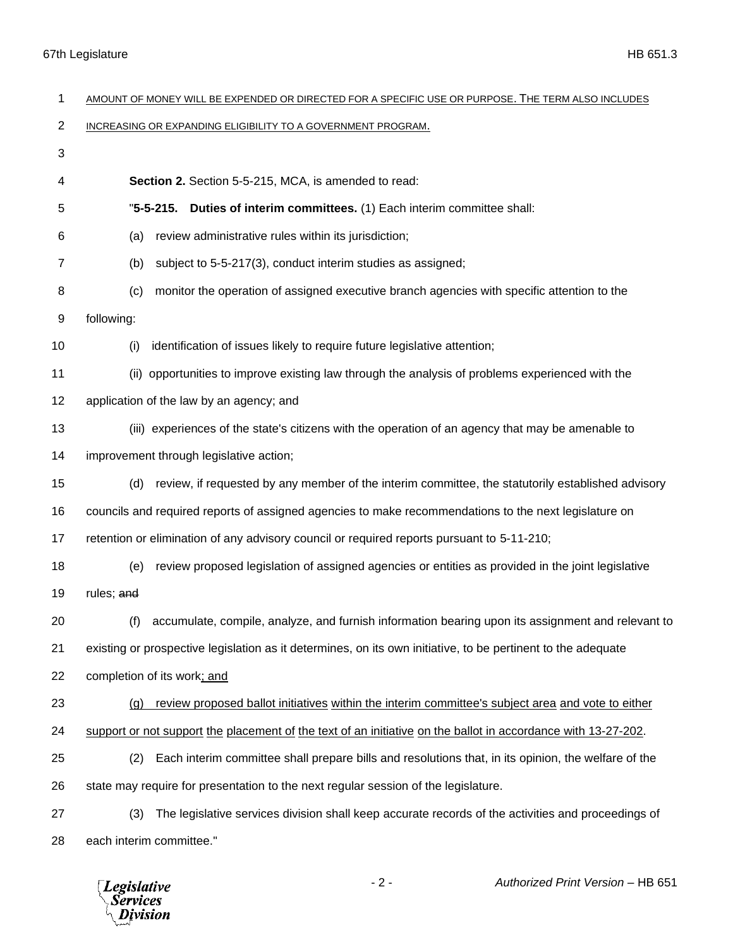| 1  | AMOUNT OF MONEY WILL BE EXPENDED OR DIRECTED FOR A SPECIFIC USE OR PURPOSE. THE TERM ALSO INCLUDES            |
|----|---------------------------------------------------------------------------------------------------------------|
| 2  | INCREASING OR EXPANDING ELIGIBILITY TO A GOVERNMENT PROGRAM.                                                  |
| 3  |                                                                                                               |
| 4  | Section 2. Section 5-5-215, MCA, is amended to read:                                                          |
| 5  | Duties of interim committees. (1) Each interim committee shall:<br>$"5-5-215.$                                |
| 6  | review administrative rules within its jurisdiction;<br>(a)                                                   |
| 7  | subject to 5-5-217(3), conduct interim studies as assigned;<br>(b)                                            |
| 8  | monitor the operation of assigned executive branch agencies with specific attention to the<br>(c)             |
| 9  | following:                                                                                                    |
| 10 | identification of issues likely to require future legislative attention;<br>(i)                               |
| 11 | opportunities to improve existing law through the analysis of problems experienced with the<br>(ii)           |
| 12 | application of the law by an agency; and                                                                      |
| 13 | (iii) experiences of the state's citizens with the operation of an agency that may be amenable to             |
| 14 | improvement through legislative action;                                                                       |
| 15 | review, if requested by any member of the interim committee, the statutorily established advisory<br>(d)      |
| 16 | councils and required reports of assigned agencies to make recommendations to the next legislature on         |
| 17 | retention or elimination of any advisory council or required reports pursuant to 5-11-210;                    |
| 18 | review proposed legislation of assigned agencies or entities as provided in the joint legislative<br>(e)      |
| 19 | rules; and                                                                                                    |
| 20 | accumulate, compile, analyze, and furnish information bearing upon its assignment and relevant to<br>(f)      |
| 21 | existing or prospective legislation as it determines, on its own initiative, to be pertinent to the adequate  |
| 22 | completion of its work; and                                                                                   |
| 23 | review proposed ballot initiatives within the interim committee's subject area and vote to either<br>(q)      |
| 24 | support or not support the placement of the text of an initiative on the ballot in accordance with 13-27-202. |
| 25 | Each interim committee shall prepare bills and resolutions that, in its opinion, the welfare of the<br>(2)    |
| 26 | state may require for presentation to the next regular session of the legislature.                            |
| 27 | The legislative services division shall keep accurate records of the activities and proceedings of<br>(3)     |
| 28 | each interim committee."                                                                                      |

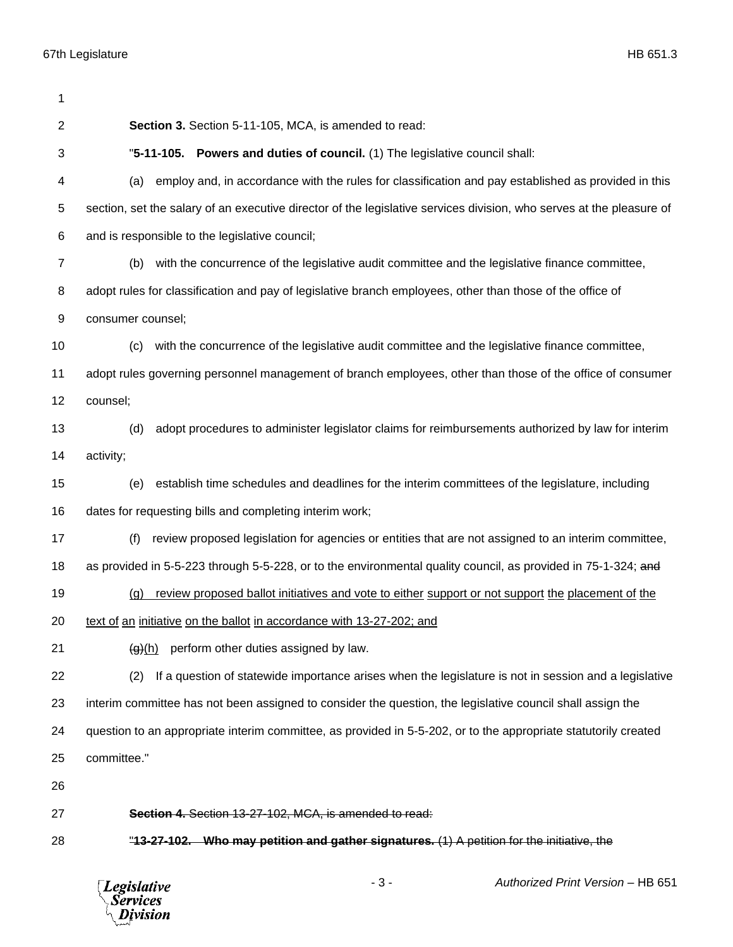| 1              |                                                                                                                      |
|----------------|----------------------------------------------------------------------------------------------------------------------|
| 2              | Section 3. Section 5-11-105, MCA, is amended to read:                                                                |
| 3              | "5-11-105. Powers and duties of council. (1) The legislative council shall:                                          |
| 4              | employ and, in accordance with the rules for classification and pay established as provided in this<br>(a)           |
| 5              | section, set the salary of an executive director of the legislative services division, who serves at the pleasure of |
| 6              | and is responsible to the legislative council;                                                                       |
| $\overline{7}$ | with the concurrence of the legislative audit committee and the legislative finance committee,<br>(b)                |
| 8              | adopt rules for classification and pay of legislative branch employees, other than those of the office of            |
| 9              | consumer counsel;                                                                                                    |
| 10             | with the concurrence of the legislative audit committee and the legislative finance committee,<br>(c)                |
| 11             | adopt rules governing personnel management of branch employees, other than those of the office of consumer           |
| 12             | counsel;                                                                                                             |
| 13             | adopt procedures to administer legislator claims for reimbursements authorized by law for interim<br>(d)             |
| 14             | activity;                                                                                                            |
| 15             | establish time schedules and deadlines for the interim committees of the legislature, including<br>(e)               |
| 16             | dates for requesting bills and completing interim work;                                                              |
| 17             | review proposed legislation for agencies or entities that are not assigned to an interim committee,<br>(f)           |
| 18             | as provided in 5-5-223 through 5-5-228, or to the environmental quality council, as provided in 75-1-324; and        |
| 19             | review proposed ballot initiatives and vote to either support or not support the placement of the<br>(q)             |
| 20             | text of an initiative on the ballot in accordance with 13-27-202; and                                                |
| 21             | <del>(g)</del> (h)<br>perform other duties assigned by law.                                                          |
| 22             | If a question of statewide importance arises when the legislature is not in session and a legislative<br>(2)         |
| 23             | interim committee has not been assigned to consider the question, the legislative council shall assign the           |
| 24             | question to an appropriate interim committee, as provided in 5-5-202, or to the appropriate statutorily created      |
| 25             | committee."                                                                                                          |
| 26             |                                                                                                                      |
| 27             | Section 4. Section 13-27-102, MCA, is amended to read:                                                               |
| 28             | "13-27-102. Who may petition and gather signatures. (1) A petition for the initiative, the                           |
|                |                                                                                                                      |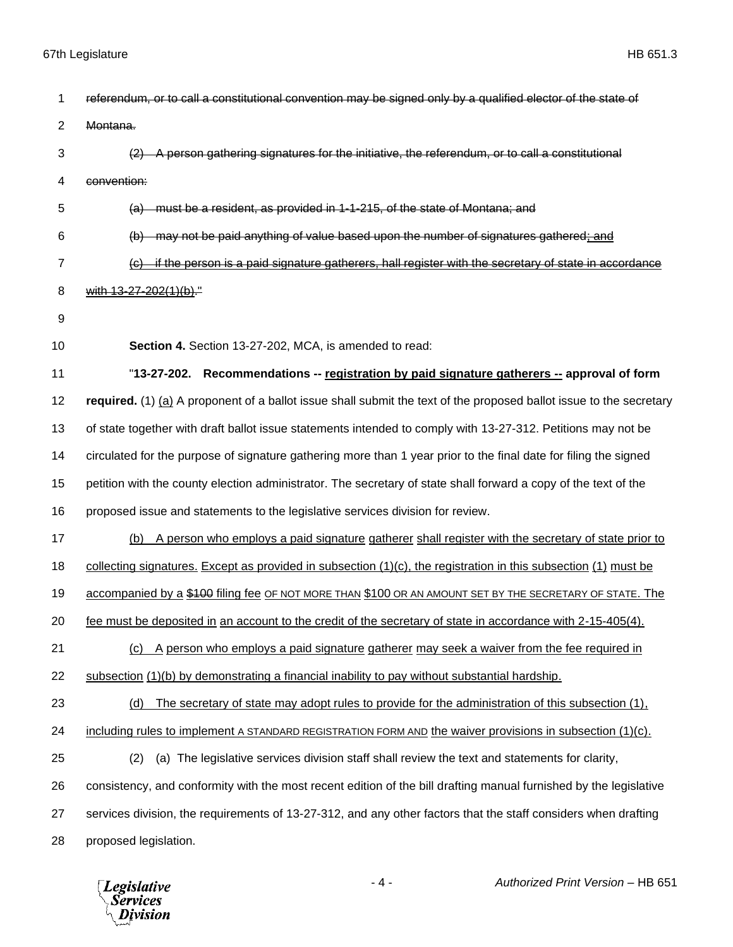| 1              | referendum, or to call a constitutional convention may be signed only by a qualified elector of the state of         |
|----------------|----------------------------------------------------------------------------------------------------------------------|
| $\overline{2}$ | Montana.                                                                                                             |
| 3              | (2) A person gathering signatures for the initiative, the referendum, or to call a constitutional                    |
| 4              | convention:                                                                                                          |
| 5              | (a) must be a resident, as provided in 1-1-215, of the state of Montana; and                                         |
| 6              | (b) may not be paid anything of value based upon the number of signatures gathered; and                              |
| $\overline{7}$ | if the person is a paid signature gatherers, hall register with the secretary of state in accordance                 |
| 8              | with 13-27-202(1)(b)."                                                                                               |
| 9              |                                                                                                                      |
| 10             | Section 4. Section 13-27-202, MCA, is amended to read:                                                               |
| 11             | "13-27-202. Recommendations -- registration by paid signature gatherers -- approval of form                          |
| 12             | required. (1) (a) A proponent of a ballot issue shall submit the text of the proposed ballot issue to the secretary  |
| 13             | of state together with draft ballot issue statements intended to comply with 13-27-312. Petitions may not be         |
| 14             | circulated for the purpose of signature gathering more than 1 year prior to the final date for filing the signed     |
| 15             | petition with the county election administrator. The secretary of state shall forward a copy of the text of the      |
| 16             | proposed issue and statements to the legislative services division for review.                                       |
| 17             | (b) A person who employs a paid signature gatherer shall register with the secretary of state prior to               |
| 18             | collecting signatures. Except as provided in subsection $(1)(c)$ , the registration in this subsection $(1)$ must be |
| 19             | accompanied by a \$100 filing fee OF NOT MORE THAN \$100 OR AN AMOUNT SET BY THE SECRETARY OF STATE. The             |
| 20             | fee must be deposited in an account to the credit of the secretary of state in accordance with 2-15-405(4).          |
| 21             | (c) A person who employs a paid signature gatherer may seek a waiver from the fee required in                        |
| 22             | subsection (1)(b) by demonstrating a financial inability to pay without substantial hardship.                        |
| 23             | The secretary of state may adopt rules to provide for the administration of this subsection (1),<br>(d)              |
| 24             | including rules to implement A STANDARD REGISTRATION FORM AND the waiver provisions in subsection (1)(c).            |
| 25             | (a) The legislative services division staff shall review the text and statements for clarity,<br>(2)                 |
| 26             | consistency, and conformity with the most recent edition of the bill drafting manual furnished by the legislative    |
| 27             | services division, the requirements of 13-27-312, and any other factors that the staff considers when drafting       |
| 28             | proposed legislation.                                                                                                |

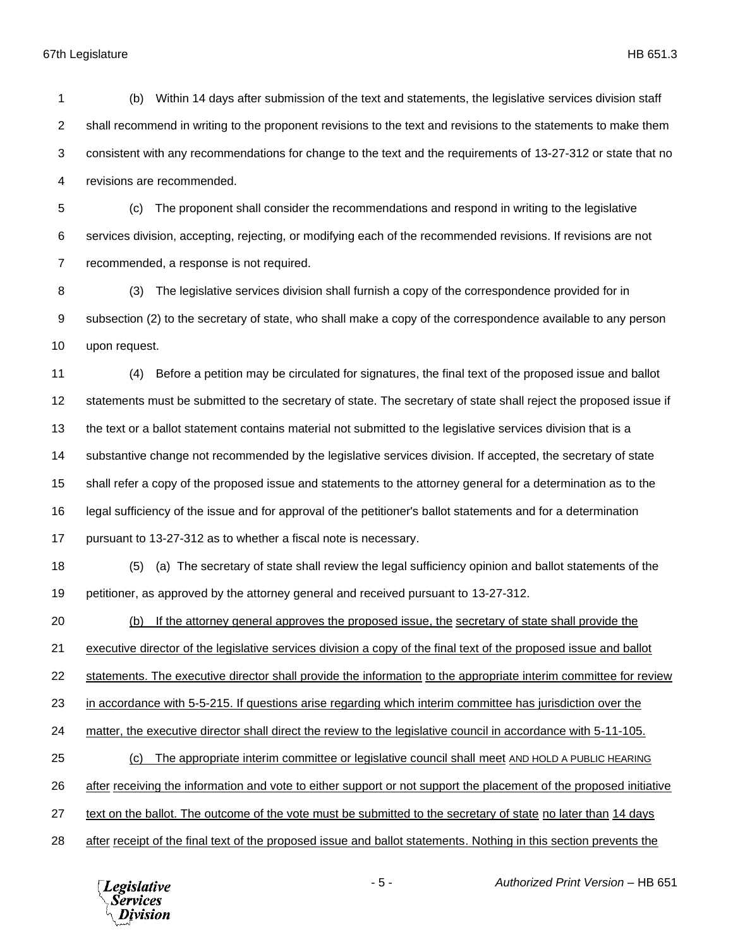## 67th Legislature HB 651.3

 (b) Within 14 days after submission of the text and statements, the legislative services division staff 2 shall recommend in writing to the proponent revisions to the text and revisions to the statements to make them consistent with any recommendations for change to the text and the requirements of 13-27-312 or state that no revisions are recommended. (c) The proponent shall consider the recommendations and respond in writing to the legislative services division, accepting, rejecting, or modifying each of the recommended revisions. If revisions are not recommended, a response is not required. (3) The legislative services division shall furnish a copy of the correspondence provided for in subsection (2) to the secretary of state, who shall make a copy of the correspondence available to any person upon request. (4) Before a petition may be circulated for signatures, the final text of the proposed issue and ballot statements must be submitted to the secretary of state. The secretary of state shall reject the proposed issue if the text or a ballot statement contains material not submitted to the legislative services division that is a substantive change not recommended by the legislative services division. If accepted, the secretary of state shall refer a copy of the proposed issue and statements to the attorney general for a determination as to the legal sufficiency of the issue and for approval of the petitioner's ballot statements and for a determination pursuant to 13-27-312 as to whether a fiscal note is necessary. (5) (a) The secretary of state shall review the legal sufficiency opinion and ballot statements of the petitioner, as approved by the attorney general and received pursuant to 13-27-312. (b) If the attorney general approves the proposed issue, the secretary of state shall provide the executive director of the legislative services division a copy of the final text of the proposed issue and ballot statements. The executive director shall provide the information to the appropriate interim committee for review in accordance with 5-5-215. If questions arise regarding which interim committee has jurisdiction over the

matter, the executive director shall direct the review to the legislative council in accordance with 5-11-105.

(c) The appropriate interim committee or legislative council shall meet AND HOLD A PUBLIC HEARING

after receiving the information and vote to either support or not support the placement of the proposed initiative

text on the ballot. The outcome of the vote must be submitted to the secretary of state no later than 14 days

after receipt of the final text of the proposed issue and ballot statements. Nothing in this section prevents the

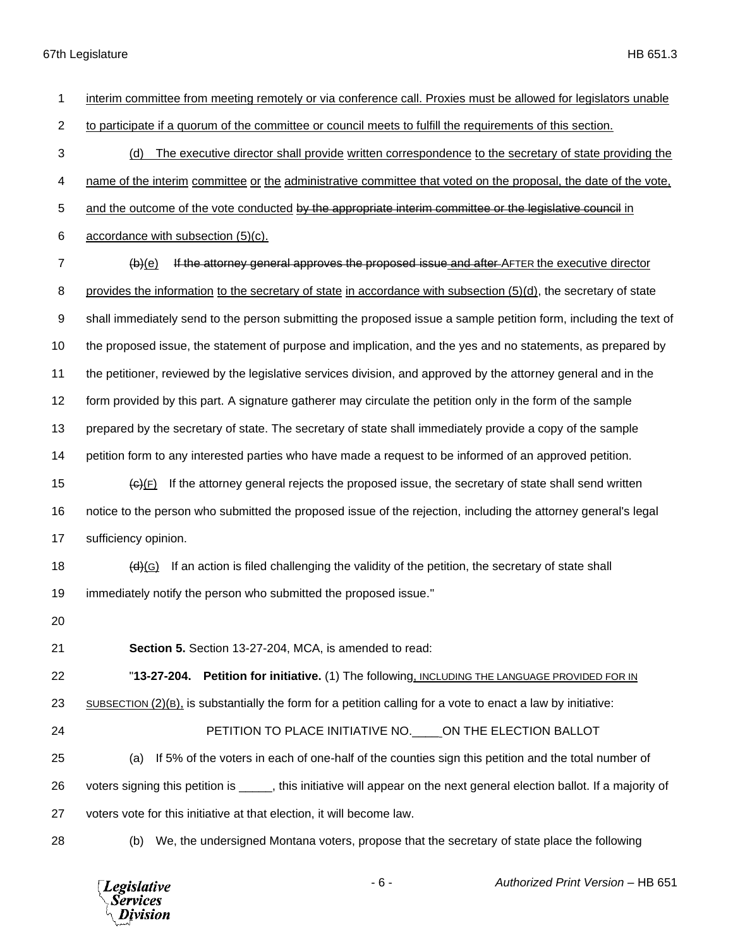67th Legislature HB 651.3

| 1              | interim committee from meeting remotely or via conference call. Proxies must be allowed for legislators unable                      |
|----------------|-------------------------------------------------------------------------------------------------------------------------------------|
| $\overline{2}$ | to participate if a quorum of the committee or council meets to fulfill the requirements of this section.                           |
| 3              | The executive director shall provide written correspondence to the secretary of state providing the<br>(d)                          |
| 4              | name of the interim committee or the administrative committee that voted on the proposal, the date of the vote,                     |
| 5              | and the outcome of the vote conducted by the appropriate interim committee or the legislative council in                            |
| 6              | accordance with subsection (5)(c).                                                                                                  |
| $\overline{7}$ | If the attorney general approves the proposed issue and after-AFTER the executive director<br>$\left(\mathbf{b}\right)(\mathbf{e})$ |
| 8              | provides the information to the secretary of state in accordance with subsection $(5)(d)$ , the secretary of state                  |
| 9              | shall immediately send to the person submitting the proposed issue a sample petition form, including the text of                    |
| 10             | the proposed issue, the statement of purpose and implication, and the yes and no statements, as prepared by                         |
| 11             | the petitioner, reviewed by the legislative services division, and approved by the attorney general and in the                      |
| 12             | form provided by this part. A signature gatherer may circulate the petition only in the form of the sample                          |
| 13             | prepared by the secretary of state. The secretary of state shall immediately provide a copy of the sample                           |
| 14             | petition form to any interested parties who have made a request to be informed of an approved petition.                             |
| 15             | If the attorney general rejects the proposed issue, the secretary of state shall send written<br>$\Theta(F)$                        |
| 16             | notice to the person who submitted the proposed issue of the rejection, including the attorney general's legal                      |
| 17             | sufficiency opinion.                                                                                                                |
| 18             | If an action is filed challenging the validity of the petition, the secretary of state shall<br>(d)(G)                              |
| 19             | immediately notify the person who submitted the proposed issue."                                                                    |
| 20             |                                                                                                                                     |
| 21             | Section 5. Section 13-27-204, MCA, is amended to read:                                                                              |
| 22             | "13-27-204. Petition for initiative. (1) The following, INCLUDING THE LANGUAGE PROVIDED FOR IN                                      |
| 23             | $SUBSECTION (2)(B)$ , is substantially the form for a petition calling for a vote to enact a law by initiative:                     |
| 24             | PETITION TO PLACE INITIATIVE NO. ON THE ELECTION BALLOT                                                                             |
| 25             | If 5% of the voters in each of one-half of the counties sign this petition and the total number of<br>(a)                           |
| 26             | voters signing this petition is _____, this initiative will appear on the next general election ballot. If a majority of            |
| 27             | voters vote for this initiative at that election, it will become law.                                                               |
| 28             | We, the undersigned Montana voters, propose that the secretary of state place the following<br>(b)                                  |



- 6 - *Authorized Print Version* – HB 651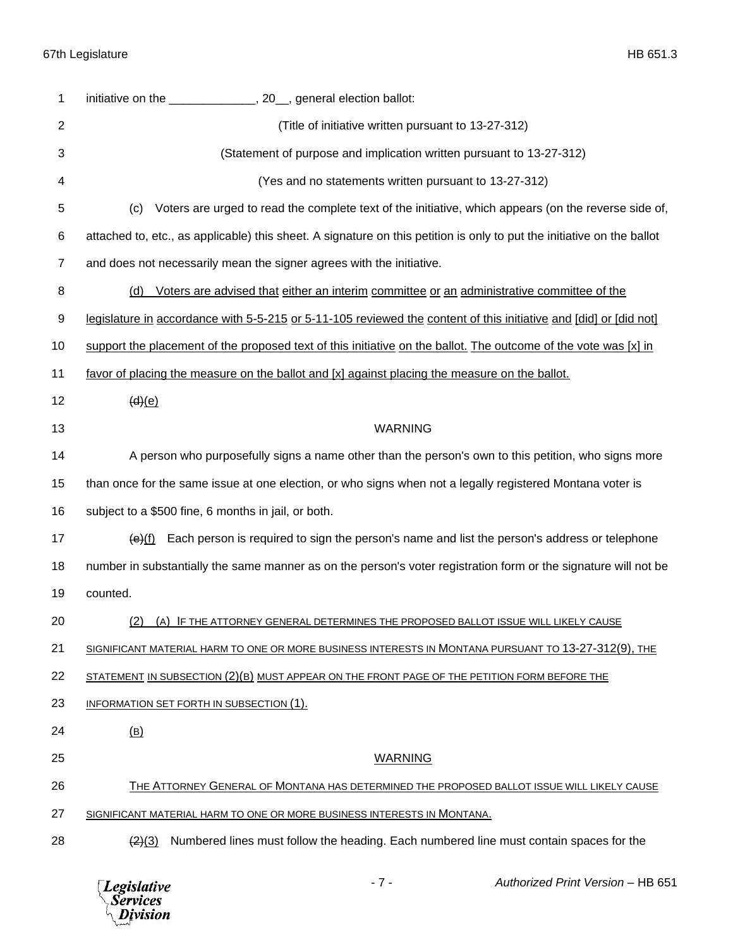| 1              | initiative on the _______________, 20_, general election ballot:                                                       |
|----------------|------------------------------------------------------------------------------------------------------------------------|
| $\overline{2}$ | (Title of initiative written pursuant to 13-27-312)                                                                    |
| 3              | (Statement of purpose and implication written pursuant to 13-27-312)                                                   |
| 4              | (Yes and no statements written pursuant to 13-27-312)                                                                  |
| 5              | Voters are urged to read the complete text of the initiative, which appears (on the reverse side of,<br>(c)            |
| 6              | attached to, etc., as applicable) this sheet. A signature on this petition is only to put the initiative on the ballot |
| 7              | and does not necessarily mean the signer agrees with the initiative.                                                   |
| 8              | Voters are advised that either an interim committee or an administrative committee of the<br>(d)                       |
| 9              | legislature in accordance with 5-5-215 or 5-11-105 reviewed the content of this initiative and [did] or [did not]      |
| 10             | support the placement of the proposed text of this initiative on the ballot. The outcome of the vote was $[x]$ in      |
| 11             | favor of placing the measure on the ballot and [x] against placing the measure on the ballot.                          |
| 12             | (d)(e)                                                                                                                 |
| 13             | <b>WARNING</b>                                                                                                         |
| 14             | A person who purposefully signs a name other than the person's own to this petition, who signs more                    |
| 15             | than once for the same issue at one election, or who signs when not a legally registered Montana voter is              |
| 16             | subject to a \$500 fine, 6 months in jail, or both.                                                                    |
| 17             | $\Theta(f)$ Each person is required to sign the person's name and list the person's address or telephone               |
| 18             | number in substantially the same manner as on the person's voter registration form or the signature will not be        |
| 19             | counted.                                                                                                               |
| 20             | (2) (A) IF THE ATTORNEY GENERAL DETERMINES THE PROPOSED BALLOT ISSUE WILL LIKELY CAUSE                                 |
| 21             | SIGNIFICANT MATERIAL HARM TO ONE OR MORE BUSINESS INTERESTS IN MONTANA PURSUANT TO 13-27-312(9), THE                   |
|                | STATEMENT IN SUBSECTION (2)(B) MUST APPEAR ON THE FRONT PAGE OF THE PETITION FORM BEFORE THE                           |
| 22             |                                                                                                                        |
| 23             | INFORMATION SET FORTH IN SUBSECTION (1).                                                                               |
| 24             | (B)                                                                                                                    |
| 25             | <b>WARNING</b>                                                                                                         |
| 26             | THE ATTORNEY GENERAL OF MONTANA HAS DETERMINED THE PROPOSED BALLOT ISSUE WILL LIKELY CAUSE                             |
| 27             | SIGNIFICANT MATERIAL HARM TO ONE OR MORE BUSINESS INTERESTS IN MONTANA.                                                |

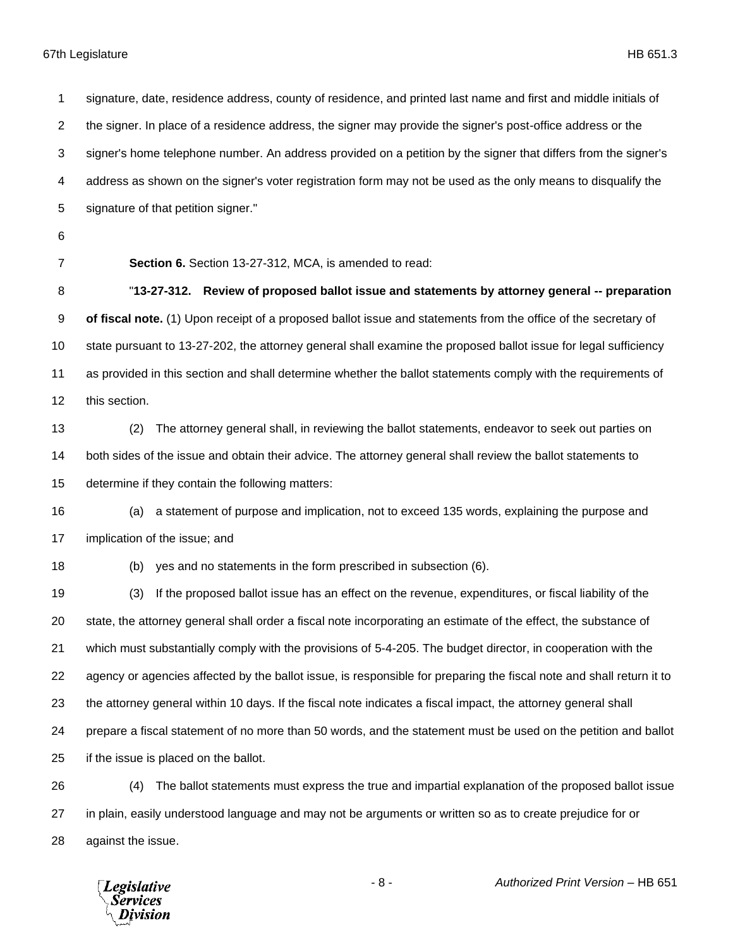signature, date, residence address, county of residence, and printed last name and first and middle initials of the signer. In place of a residence address, the signer may provide the signer's post-office address or the signer's home telephone number. An address provided on a petition by the signer that differs from the signer's address as shown on the signer's voter registration form may not be used as the only means to disqualify the signature of that petition signer." **Section 6.** Section 13-27-312, MCA, is amended to read: "**13-27-312. Review of proposed ballot issue and statements by attorney general -- preparation of fiscal note.** (1) Upon receipt of a proposed ballot issue and statements from the office of the secretary of state pursuant to 13-27-202, the attorney general shall examine the proposed ballot issue for legal sufficiency as provided in this section and shall determine whether the ballot statements comply with the requirements of this section. (2) The attorney general shall, in reviewing the ballot statements, endeavor to seek out parties on both sides of the issue and obtain their advice. The attorney general shall review the ballot statements to determine if they contain the following matters: (a) a statement of purpose and implication, not to exceed 135 words, explaining the purpose and implication of the issue; and (b) yes and no statements in the form prescribed in subsection (6). (3) If the proposed ballot issue has an effect on the revenue, expenditures, or fiscal liability of the state, the attorney general shall order a fiscal note incorporating an estimate of the effect, the substance of which must substantially comply with the provisions of 5-4-205. The budget director, in cooperation with the agency or agencies affected by the ballot issue, is responsible for preparing the fiscal note and shall return it to the attorney general within 10 days. If the fiscal note indicates a fiscal impact, the attorney general shall prepare a fiscal statement of no more than 50 words, and the statement must be used on the petition and ballot if the issue is placed on the ballot. (4) The ballot statements must express the true and impartial explanation of the proposed ballot issue in plain, easily understood language and may not be arguments or written so as to create prejudice for or against the issue.

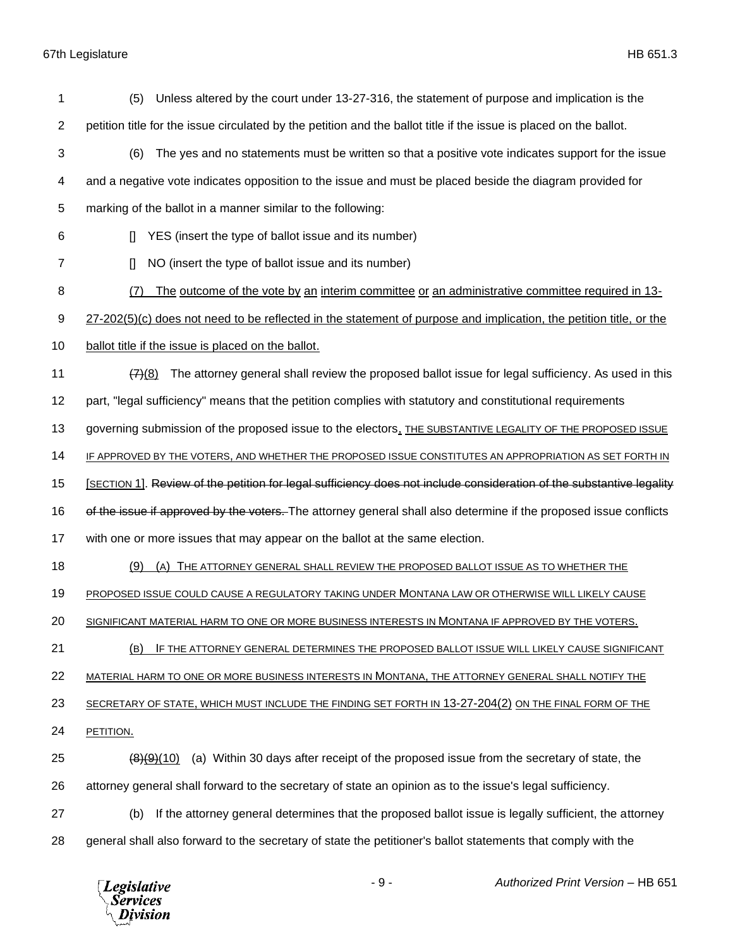## 67th Legislature HB 651.3

| 1              | Unless altered by the court under 13-27-316, the statement of purpose and implication is the<br>(5)                    |
|----------------|------------------------------------------------------------------------------------------------------------------------|
| $\overline{2}$ | petition title for the issue circulated by the petition and the ballot title if the issue is placed on the ballot.     |
| 3              | The yes and no statements must be written so that a positive vote indicates support for the issue<br>(6)               |
| 4              | and a negative vote indicates opposition to the issue and must be placed beside the diagram provided for               |
| 5              | marking of the ballot in a manner similar to the following:                                                            |
| 6              | YES (insert the type of ballot issue and its number)<br>$\mathbb{I}$                                                   |
| 7              | NO (insert the type of ballot issue and its number)<br>$\mathsf{I}$                                                    |
| 8              | The outcome of the vote by an interim committee or an administrative committee required in 13-<br>(7)                  |
| 9              | 27-202(5)(c) does not need to be reflected in the statement of purpose and implication, the petition title, or the     |
| 10             | ballot title if the issue is placed on the ballot.                                                                     |
| 11             | The attorney general shall review the proposed ballot issue for legal sufficiency. As used in this<br>(7)(8)           |
| 12             | part, "legal sufficiency" means that the petition complies with statutory and constitutional requirements              |
| 13             | governing submission of the proposed issue to the electors, THE SUBSTANTIVE LEGALITY OF THE PROPOSED ISSUE             |
| 14             | IF APPROVED BY THE VOTERS, AND WHETHER THE PROPOSED ISSUE CONSTITUTES AN APPROPRIATION AS SET FORTH IN                 |
| 15             | [SECTION 1]. Review of the petition for legal sufficiency does not include consideration of the substantive legality   |
| 16             | of the issue if approved by the voters. The attorney general shall also determine if the proposed issue conflicts      |
| 17             | with one or more issues that may appear on the ballot at the same election.                                            |
| 18             | (9)<br>THE ATTORNEY GENERAL SHALL REVIEW THE PROPOSED BALLOT ISSUE AS TO WHETHER THE<br>(A)                            |
| 19             | PROPOSED ISSUE COULD CAUSE A REGULATORY TAKING UNDER MONTANA LAW OR OTHERWISE WILL LIKELY CAUSE                        |
| 20             | SIGNIFICANT MATERIAL HARM TO ONE OR MORE BUSINESS INTERESTS IN MONTANA IF APPROVED BY THE VOTERS.                      |
| 21             | IF THE ATTORNEY GENERAL DETERMINES THE PROPOSED BALLOT ISSUE WILL LIKELY CAUSE SIGNIFICANT<br>(B)                      |
| 22             | MATERIAL HARM TO ONE OR MORE BUSINESS INTERESTS IN MONTANA, THE ATTORNEY GENERAL SHALL NOTIFY THE                      |
| 23             | SECRETARY OF STATE, WHICH MUST INCLUDE THE FINDING SET FORTH IN 13-27-204(2) ON THE FINAL FORM OF THE                  |
| 24             | PETITION.                                                                                                              |
| 25             | (a) Within 30 days after receipt of the proposed issue from the secretary of state, the<br>$\left( 8 \right) (9) (10)$ |
| 26             | attorney general shall forward to the secretary of state an opinion as to the issue's legal sufficiency.               |
| 27             | If the attorney general determines that the proposed ballot issue is legally sufficient, the attorney<br>(b)           |
| 28             | general shall also forward to the secretary of state the petitioner's ballot statements that comply with the           |
|                |                                                                                                                        |